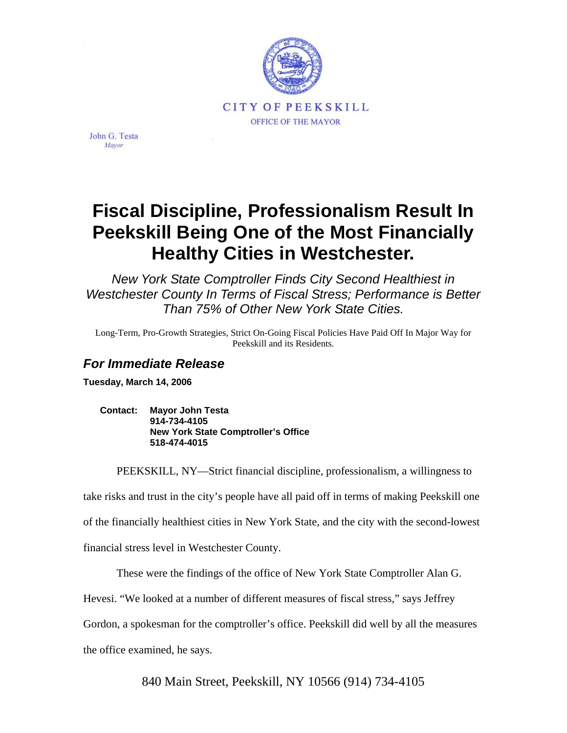

John G. Testa Mayor

# **Fiscal Discipline, Professionalism Result In Peekskill Being One of the Most Financially Healthy Cities in Westchester.**

*New York State Comptroller Finds City Second Healthiest in Westchester County In Terms of Fiscal Stress; Performance is Better Than 75% of Other New York State Cities.* 

Long-Term, Pro-Growth Strategies, Strict On-Going Fiscal Policies Have Paid Off In Major Way for Peekskill and its Residents.

# *For Immediate Release*

**Tuesday, March 14, 2006** 

**Contact: Mayor John Testa 914-734-4105 New York State Comptroller's Office 518-474-4015** 

PEEKSKILL, NY—Strict financial discipline, professionalism, a willingness to

take risks and trust in the city's people have all paid off in terms of making Peekskill one

of the financially healthiest cities in New York State, and the city with the second-lowest

financial stress level in Westchester County.

These were the findings of the office of New York State Comptroller Alan G.

Hevesi. "We looked at a number of different measures of fiscal stress," says Jeffrey

Gordon, a spokesman for the comptroller's office. Peekskill did well by all the measures

the office examined, he says.

840 Main Street, Peekskill, NY 10566 (914) 734-4105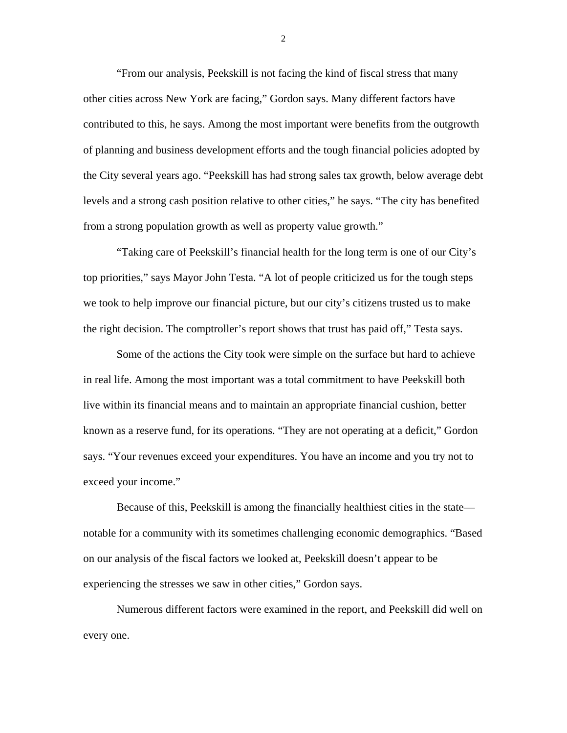"From our analysis, Peekskill is not facing the kind of fiscal stress that many other cities across New York are facing," Gordon says. Many different factors have contributed to this, he says. Among the most important were benefits from the outgrowth of planning and business development efforts and the tough financial policies adopted by the City several years ago. "Peekskill has had strong sales tax growth, below average debt levels and a strong cash position relative to other cities," he says. "The city has benefited from a strong population growth as well as property value growth."

"Taking care of Peekskill's financial health for the long term is one of our City's top priorities," says Mayor John Testa. "A lot of people criticized us for the tough steps we took to help improve our financial picture, but our city's citizens trusted us to make the right decision. The comptroller's report shows that trust has paid off," Testa says.

Some of the actions the City took were simple on the surface but hard to achieve in real life. Among the most important was a total commitment to have Peekskill both live within its financial means and to maintain an appropriate financial cushion, better known as a reserve fund, for its operations. "They are not operating at a deficit," Gordon says. "Your revenues exceed your expenditures. You have an income and you try not to exceed your income."

Because of this, Peekskill is among the financially healthiest cities in the state notable for a community with its sometimes challenging economic demographics. "Based on our analysis of the fiscal factors we looked at, Peekskill doesn't appear to be experiencing the stresses we saw in other cities," Gordon says.

Numerous different factors were examined in the report, and Peekskill did well on every one.

2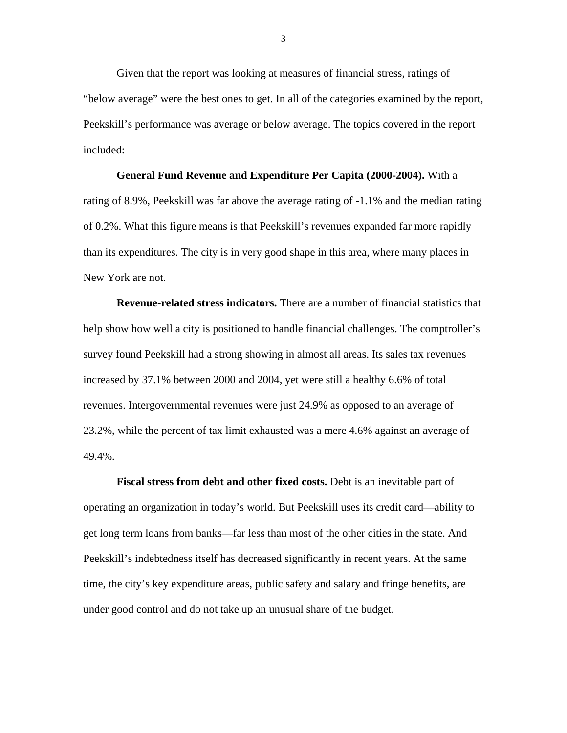Given that the report was looking at measures of financial stress, ratings of "below average" were the best ones to get. In all of the categories examined by the report, Peekskill's performance was average or below average. The topics covered in the report included:

**General Fund Revenue and Expenditure Per Capita (2000-2004).** With a rating of 8.9%, Peekskill was far above the average rating of -1.1% and the median rating of 0.2%. What this figure means is that Peekskill's revenues expanded far more rapidly than its expenditures. The city is in very good shape in this area, where many places in New York are not.

**Revenue-related stress indicators.** There are a number of financial statistics that help show how well a city is positioned to handle financial challenges. The comptroller's survey found Peekskill had a strong showing in almost all areas. Its sales tax revenues increased by 37.1% between 2000 and 2004, yet were still a healthy 6.6% of total revenues. Intergovernmental revenues were just 24.9% as opposed to an average of 23.2%, while the percent of tax limit exhausted was a mere 4.6% against an average of 49.4%.

**Fiscal stress from debt and other fixed costs.** Debt is an inevitable part of operating an organization in today's world. But Peekskill uses its credit card—ability to get long term loans from banks—far less than most of the other cities in the state. And Peekskill's indebtedness itself has decreased significantly in recent years. At the same time, the city's key expenditure areas, public safety and salary and fringe benefits, are under good control and do not take up an unusual share of the budget.

3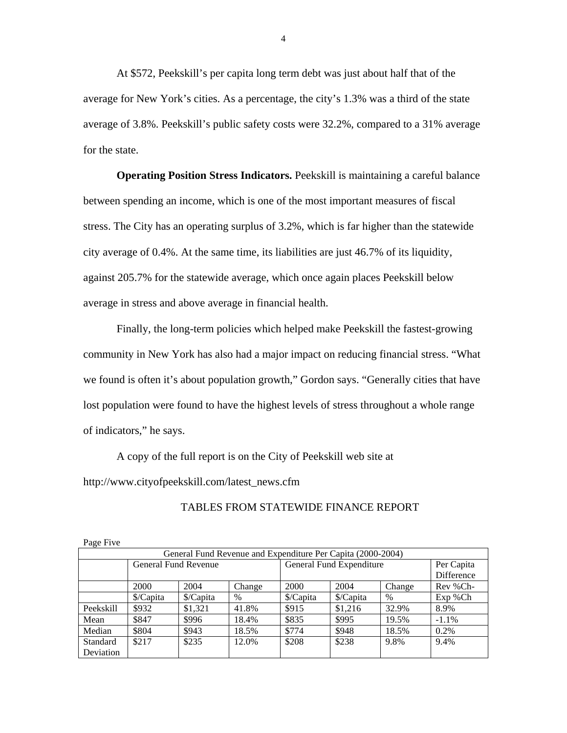At \$572, Peekskill's per capita long term debt was just about half that of the average for New York's cities. As a percentage, the city's 1.3% was a third of the state average of 3.8%. Peekskill's public safety costs were 32.2%, compared to a 31% average for the state.

**Operating Position Stress Indicators.** Peekskill is maintaining a careful balance between spending an income, which is one of the most important measures of fiscal stress. The City has an operating surplus of 3.2%, which is far higher than the statewide city average of 0.4%. At the same time, its liabilities are just 46.7% of its liquidity, against 205.7% for the statewide average, which once again places Peekskill below average in stress and above average in financial health.

Finally, the long-term policies which helped make Peekskill the fastest-growing community in New York has also had a major impact on reducing financial stress. "What we found is often it's about population growth," Gordon says. "Generally cities that have lost population were found to have the highest levels of stress throughout a whole range of indicators," he says.

A copy of the full report is on the City of Peekskill web site at http://www.cityofpeekskill.com/latest\_news.cfm

| Page Five                                                   |                      |           |        |                          |            |        |              |  |  |  |
|-------------------------------------------------------------|----------------------|-----------|--------|--------------------------|------------|--------|--------------|--|--|--|
| General Fund Revenue and Expenditure Per Capita (2000-2004) |                      |           |        |                          |            |        |              |  |  |  |
|                                                             | General Fund Revenue |           |        | General Fund Expenditure |            |        | Per Capita   |  |  |  |
|                                                             |                      |           |        |                          | Difference |        |              |  |  |  |
|                                                             | 2000                 | 2004      | Change | 2000                     | 2004       | Change | Rev %Ch-     |  |  |  |
|                                                             | \$/Capita            | \$/Capita | $\%$   | \$/Capita                | \$/Capita  | $\%$   | $Exp$ % $Ch$ |  |  |  |
| Peekskill                                                   | \$932                | \$1,321   | 41.8%  | \$915                    | \$1,216    | 32.9%  | 8.9%         |  |  |  |
| Mean                                                        | \$847                | \$996     | 18.4%  | \$835                    | \$995      | 19.5%  | $-1.1\%$     |  |  |  |
| Median                                                      | \$804                | \$943     | 18.5%  | \$774                    | \$948      | 18.5%  | 0.2%         |  |  |  |
| Standard                                                    | \$217                | \$235     | 12.0%  | \$208                    | \$238      | 9.8%   | 9.4%         |  |  |  |
| Deviation                                                   |                      |           |        |                          |            |        |              |  |  |  |

TABLES FROM STATEWIDE FINANCE REPORT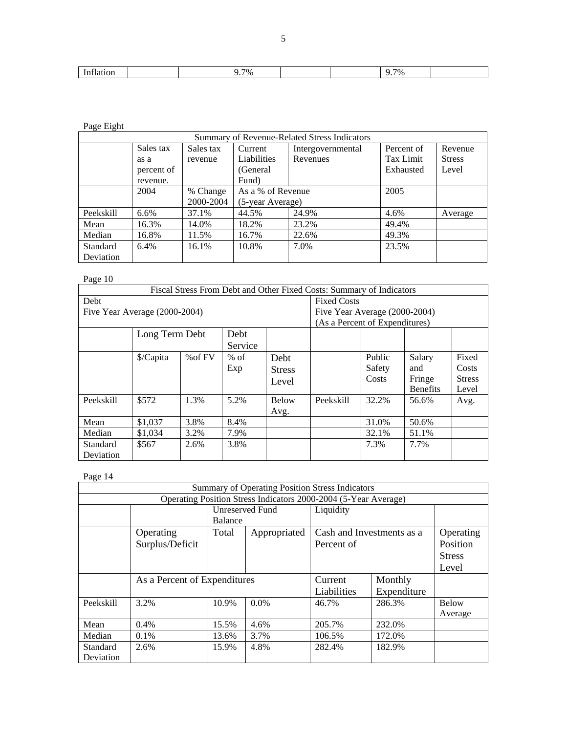| -<br>$\sim$<br>.<br>яног<br><b>*************</b> |  | $7\%$ |  | 7% |  |
|--------------------------------------------------|--|-------|--|----|--|

#### Page Eight

| Summary of Revenue-Related Stress Indicators |            |           |                   |                   |            |               |  |  |  |
|----------------------------------------------|------------|-----------|-------------------|-------------------|------------|---------------|--|--|--|
|                                              | Sales tax  | Sales tax | Current           | Intergovernmental | Percent of | Revenue       |  |  |  |
|                                              | as a       | revenue   | Liabilities       | Revenues          | Tax Limit  | <b>Stress</b> |  |  |  |
|                                              | percent of |           | (General)         |                   | Exhausted  | Level         |  |  |  |
|                                              | revenue.   |           | Fund)             |                   |            |               |  |  |  |
|                                              | 2004       | % Change  | As a % of Revenue |                   | 2005       |               |  |  |  |
|                                              |            | 2000-2004 | (5-year Average)  |                   |            |               |  |  |  |
| Peekskill                                    | $6.6\%$    | 37.1%     | 44.5%             | 24.9%             | 4.6%       | Average       |  |  |  |
| Mean                                         | 16.3%      | 14.0%     | 18.2%             | 23.2%             | 49.4%      |               |  |  |  |
| Median                                       | 16.8%      | 11.5%     | 16.7%             | 22.6%             | 49.3%      |               |  |  |  |
| Standard                                     | 6.4%       | 16.1%     | 10.8%             | 7.0%              | 23.5%      |               |  |  |  |
| Deviation                                    |            |           |                   |                   |            |               |  |  |  |

## Page 10

| Fiscal Stress From Debt and Other Fixed Costs: Summary of Indicators |                                |         |         |               |           |        |                 |               |
|----------------------------------------------------------------------|--------------------------------|---------|---------|---------------|-----------|--------|-----------------|---------------|
| Debt                                                                 | <b>Fixed Costs</b>             |         |         |               |           |        |                 |               |
| Five Year Average (2000-2004)                                        | Five Year Average (2000-2004)  |         |         |               |           |        |                 |               |
|                                                                      | (As a Percent of Expenditures) |         |         |               |           |        |                 |               |
| Long Term Debt<br>Debt                                               |                                |         |         |               |           |        |                 |               |
|                                                                      |                                |         | Service |               |           |        |                 |               |
|                                                                      | \$/Capita                      | % of FV | $%$ of  | Debt          |           | Public | Salary          | Fixed         |
|                                                                      |                                |         | Exp     | <b>Stress</b> |           | Safety | and             | Costs         |
|                                                                      |                                |         |         | Level         |           | Costs  | Fringe          | <b>Stress</b> |
|                                                                      |                                |         |         |               |           |        | <b>Benefits</b> | Level         |
| Peekskill                                                            | \$572                          | 1.3%    | 5.2%    | <b>Below</b>  | Peekskill | 32.2%  | 56.6%           | Avg.          |
|                                                                      |                                |         |         | Avg.          |           |        |                 |               |
| Mean                                                                 | \$1,037                        | 3.8%    | 8.4%    |               |           | 31.0%  | 50.6%           |               |
| Median                                                               | \$1,034                        | 3.2%    | 7.9%    |               |           | 32.1%  | 51.1%           |               |
| Standard                                                             | \$567                          | 2.6%    | 3.8%    |               |           | 7.3%   | 7.7%            |               |
| Deviation                                                            |                                |         |         |               |           |        |                 |               |

## Page 14

| Summary of Operating Position Stress Indicators                 |                              |         |                 |                                         |                                                 |                         |  |  |  |  |
|-----------------------------------------------------------------|------------------------------|---------|-----------------|-----------------------------------------|-------------------------------------------------|-------------------------|--|--|--|--|
| Operating Position Stress Indicators 2000-2004 (5-Year Average) |                              |         |                 |                                         |                                                 |                         |  |  |  |  |
|                                                                 |                              | Balance | Unreserved Fund | Liquidity                               |                                                 |                         |  |  |  |  |
|                                                                 | Operating<br>Surplus/Deficit | Total   | Appropriated    | Cash and Investments as a<br>Percent of | Operating<br>Position<br><b>Stress</b><br>Level |                         |  |  |  |  |
|                                                                 | As a Percent of Expenditures |         |                 | Current<br>Liabilities                  | Monthly<br>Expenditure                          |                         |  |  |  |  |
| Peekskill                                                       | 3.2%                         | 10.9%   | $0.0\%$         | 46.7%                                   | 286.3%                                          | <b>Below</b><br>Average |  |  |  |  |
| Mean                                                            | 0.4%                         | 15.5%   | 4.6%            | 205.7%                                  | 232.0%                                          |                         |  |  |  |  |
| Median                                                          | $0.1\%$                      | 13.6%   | 3.7%            | 106.5%                                  | 172.0%                                          |                         |  |  |  |  |
| Standard<br>Deviation                                           | 2.6%                         | 15.9%   | 4.8%            | 282.4%                                  | 182.9%                                          |                         |  |  |  |  |